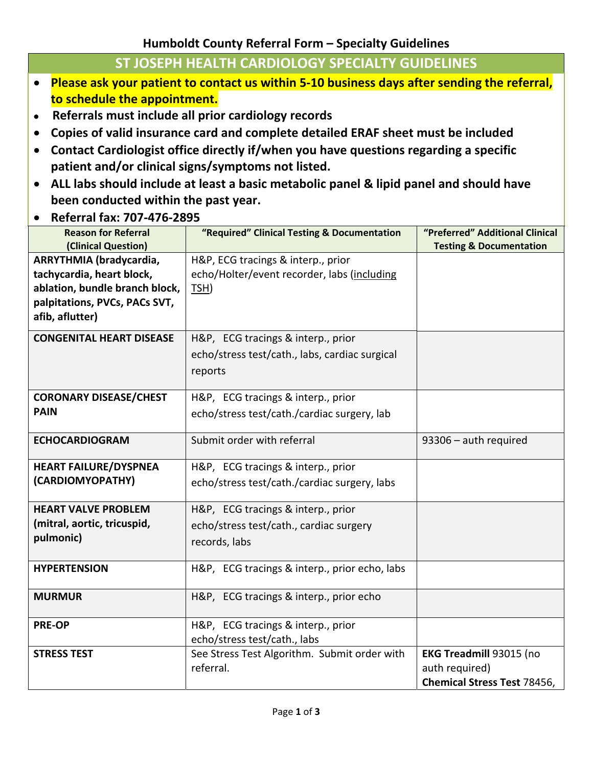## **Humboldt County Referral Form – Specialty Guidelines**

## **ST JOSEPH HEALTH CARDIOLOGY SPECIALTY GUIDELINES**

- **Please ask your patient to contact us within 5‐10 business days after sending the referral, to schedule the appointment.**
- **Referrals must include all prior cardiology records**
- **Copies of valid insurance card and complete detailed ERAF sheet must be included**
- **Contact Cardiologist office directly if/when you have questions regarding a specific patient and/or clinical signs/symptoms not listed.**
- **ALL labs should include at least a basic metabolic panel & lipid panel and should have been conducted within the past year.**
- **Referral fax: 707‐476‐2895**

| <b>Reason for Referral</b><br>(Clinical Question)                                                                                          | "Required" Clinical Testing & Documentation                                                     | "Preferred" Additional Clinical<br><b>Testing &amp; Documentation</b>           |
|--------------------------------------------------------------------------------------------------------------------------------------------|-------------------------------------------------------------------------------------------------|---------------------------------------------------------------------------------|
| ARRYTHMIA (bradycardia,<br>tachycardia, heart block,<br>ablation, bundle branch block,<br>palpitations, PVCs, PACs SVT,<br>afib, aflutter) | H&P, ECG tracings & interp., prior<br>echo/Holter/event recorder, labs (including<br>TSH)       |                                                                                 |
| <b>CONGENITAL HEART DISEASE</b>                                                                                                            | H&P, ECG tracings & interp., prior<br>echo/stress test/cath., labs, cardiac surgical<br>reports |                                                                                 |
| <b>CORONARY DISEASE/CHEST</b><br><b>PAIN</b>                                                                                               | H&P, ECG tracings & interp., prior<br>echo/stress test/cath./cardiac surgery, lab               |                                                                                 |
| <b>ECHOCARDIOGRAM</b>                                                                                                                      | Submit order with referral                                                                      | 93306 - auth required                                                           |
| <b>HEART FAILURE/DYSPNEA</b><br>(CARDIOMYOPATHY)                                                                                           | H&P, ECG tracings & interp., prior<br>echo/stress test/cath./cardiac surgery, labs              |                                                                                 |
| <b>HEART VALVE PROBLEM</b><br>(mitral, aortic, tricuspid,<br>pulmonic)                                                                     | H&P, ECG tracings & interp., prior<br>echo/stress test/cath., cardiac surgery<br>records, labs  |                                                                                 |
| <b>HYPERTENSION</b>                                                                                                                        | H&P, ECG tracings & interp., prior echo, labs                                                   |                                                                                 |
| <b>MURMUR</b>                                                                                                                              | H&P, ECG tracings & interp., prior echo                                                         |                                                                                 |
| <b>PRE-OP</b>                                                                                                                              | H&P, ECG tracings & interp., prior<br>echo/stress test/cath., labs                              |                                                                                 |
| <b>STRESS TEST</b>                                                                                                                         | See Stress Test Algorithm. Submit order with<br>referral.                                       | EKG Treadmill 93015 (no<br>auth required)<br><b>Chemical Stress Test 78456,</b> |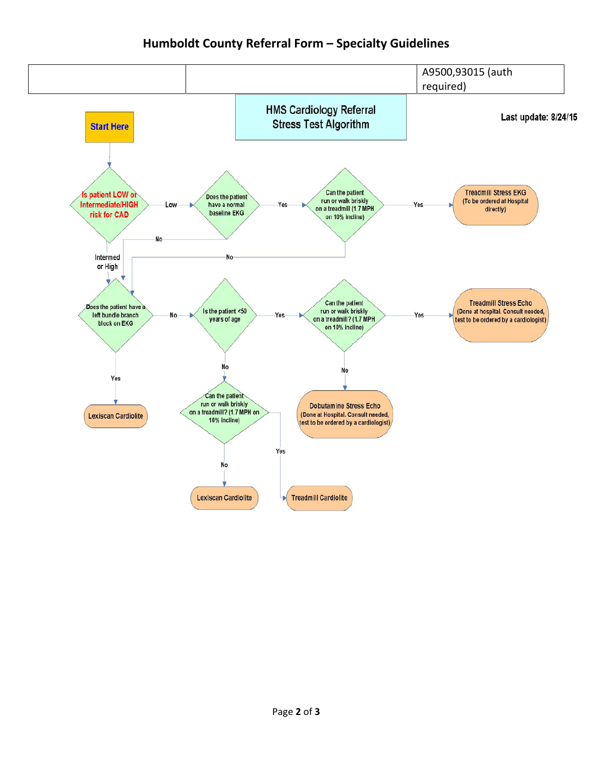## **Humboldt County Referral Form – Specialty Guidelines**